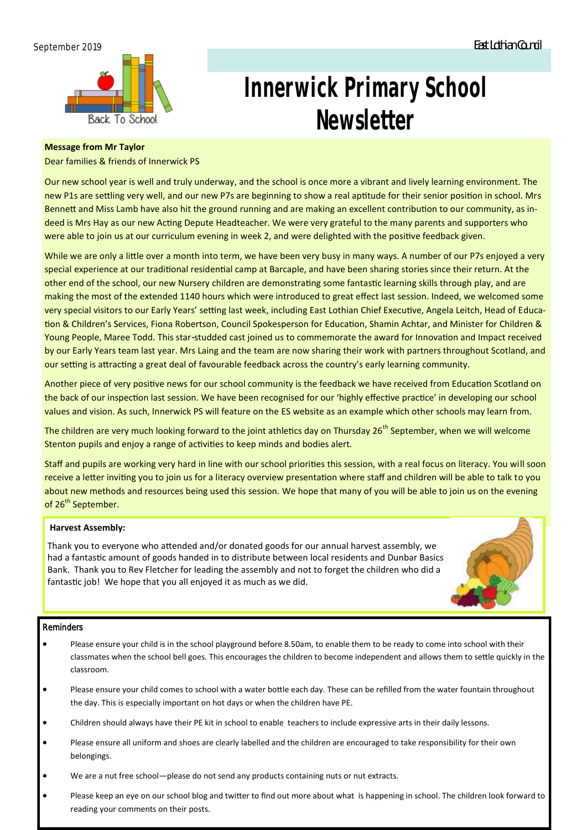

# **Innerwick Primary School Newsletter**

# **Message from Mr Taylor**

Dear families & friends of Innerwick PS

Our new school year is well and truly underway, and the school is once more a vibrant and lively learning environment. The new P1s are settling very well, and our new P7s are beginning to show a real aptitude for their senior position in school. Mrs Bennett and Miss Lamb have also hit the ground running and are making an excellent contribution to our community, as indeed is Mrs Hay as our new Acting Depute Headteacher. We were very grateful to the many parents and supporters who were able to join us at our curriculum evening in week 2, and were delighted with the positive feedback given.

While we are only a little over a month into term, we have been very busy in many ways. A number of our P7s enjoyed a very special experience at our traditional residential camp at Barcaple, and have been sharing stories since their return. At the other end of the school, our new Nursery children are demonstrating some fantastic learning skills through play, and are making the most of the extended 1140 hours which were introduced to great effect last session. Indeed, we welcomed some very special visitors to our Early Years' setting last week, including East Lothian Chief Executive, Angela Leitch, Head of Education & Children's Services, Fiona Robertson, Council Spokesperson for Education, Shamin Achtar, and Minister for Children & Young People, Maree Todd. This star-studded cast joined us to commemorate the award for Innovation and Impact received by our Early Years team last year. Mrs Laing and the team are now sharing their work with partners throughout Scotland, and our setting is attracting a great deal of favourable feedback across the country's early learning community.

Another piece of very positive news for our school community is the feedback we have received from Education Scotland on the back of our inspection last session. We have been recognised for our 'highly effective practice' in developing our school values and vision. As such, Innerwick PS will feature on the ES website as an example which other schools may learn from.

The children are very much looking forward to the joint athletics day on Thursday 26<sup>th</sup> September, when we will welcome Stenton pupils and enjoy a range of activities to keep minds and bodies alert.

Staff and pupils are working very hard in line with our school priorities this session, with a real focus on literacy. You will soon receive a letter inviting you to join us for a literacy overview presentation where staff and children will be able to talk to you about new methods and resources being used this session. We hope that many of you will be able to join us on the evening of 26<sup>th</sup> September.

### **Harvest Assembly:**

Thank you to everyone who attended and/or donated goods for our annual harvest assembly, we had a fantastic amount of goods handed in to distribute between local residents and Dunbar Basics Bank. Thank you to Rev Fletcher for leading the assembly and not to forget the children who did a fantastic job! We hope that you all enjoyed it as much as we did.

#### **Reminders**

- Please ensure your child is in the school playground before 8.50am, to enable them to be ready to come into school with their classmates when the school bell goes. This encourages the children to become independent and allows them to settle quickly in the classroom.
- Please ensure your child comes to school with a water bottle each day. These can be refilled from the water fountain throughout the day. This is especially important on hot days or when the children have PE.
- Children should always have their PE kit in school to enable teachers to include expressive arts in their daily lessons.
- Please ensure all uniform and shoes are clearly labelled and the children are encouraged to take responsibility for their own belongings.
- We are a nut free school—please do not send any products containing nuts or nut extracts.
- Please keep an eye on our school blog and twitter to find out more about what is happening in school. The children look forward to reading your comments on their posts.